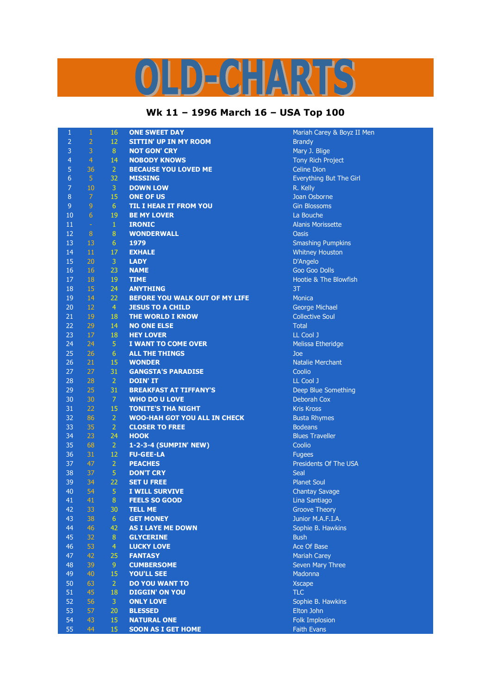## LD-CHARTS

## **Wk 11 – 1996 March 16 – USA Top 100**

| $\mathbf{1}$   | $\,1\,$         | 16             | <b>ONE SWEET DAY</b>                | Mariah Carey & Boyz II Men |
|----------------|-----------------|----------------|-------------------------------------|----------------------------|
| $\overline{2}$ | $\overline{2}$  | 12             | <b>SITTIN' UP IN MY ROOM</b>        | <b>Brandy</b>              |
| 3              | 3               | 8              | <b>NOT GON' CRY</b>                 | Mary J. Blige              |
| $\overline{4}$ | $\overline{4}$  | 14             | <b>NOBODY KNOWS</b>                 | Tony Rich Project          |
| 5              | 36              | $\overline{2}$ | <b>BECAUSE YOU LOVED ME</b>         | <b>Celine Dion</b>         |
| 6              | $\overline{5}$  | 32             | <b>MISSING</b>                      | Everything But The Girl    |
| $\overline{7}$ | 10              | 3              | <b>DOWN LOW</b>                     | R. Kelly                   |
| $\, 8$         | $\overline{7}$  | 15             | <b>ONE OF US</b>                    | Joan Osborne               |
| $\mathsf 9$    | $\overline{9}$  | 6 <sup>1</sup> | <b>TIL I HEAR IT FROM YOU</b>       | <b>Gin Blossoms</b>        |
| 10             | $6\phantom{.}6$ | 19             | <b>BE MY LOVER</b>                  | La Bouche                  |
| 11             | $\sim$          | $\mathbf{1}$   | <b>IRONIC</b>                       | <b>Alanis Morissette</b>   |
| 12             | 8               | 8              | <b>WONDERWALL</b>                   | Oasis                      |
| 13             | 13              | 6              | 1979                                | <b>Smashing Pumpkins</b>   |
| 14             | 11              | 17             | <b>EXHALE</b>                       | <b>Whitney Houston</b>     |
| 15             | 20              | $\overline{3}$ | <b>LADY</b>                         | D'Angelo                   |
| 16             | 16              | 23             | <b>NAME</b>                         | <b>Goo Goo Dolls</b>       |
| 17             | 18              | 19             | <b>TIME</b>                         | Hootie & The Blowfish      |
| 18             | 15              | 24             | <b>ANYTHING</b>                     | 3T                         |
|                |                 |                |                                     |                            |
| 19             | 14              | 22             | BEFORE YOU WALK OUT OF MY LIFE      | <b>Monica</b>              |
| 20             | 12              | $\overline{4}$ | <b>JESUS TO A CHILD</b>             | George Michael             |
| 21             | 19              | 18             | THE WORLD I KNOW                    | <b>Collective Soul</b>     |
| 22             | 29              | 14             | <b>NO ONE ELSE</b>                  | <b>Total</b>               |
| 23             | 17              | 18             | <b>HEY LOVER</b>                    | LL Cool J                  |
| 24             | 24              | $\overline{5}$ | I WANT TO COME OVER                 | Melissa Etheridge          |
| 25             | 26              | 6 <sup>1</sup> | <b>ALL THE THINGS</b>               | Joe                        |
| 26             | 21              | 15             | <b>WONDER</b>                       | <b>Natalie Merchant</b>    |
| 27             | 27              | 31             | <b>GANGSTA'S PARADISE</b>           | Coolio                     |
| 28             | 28              | $\overline{2}$ | <b>DOIN' IT</b>                     | LL Cool J                  |
| 29             | 25              | 31             | <b>BREAKFAST AT TIFFANY'S</b>       | Deep Blue Something        |
| 30             | 30              | $\overline{7}$ | <b>WHO DO U LOVE</b>                | Deborah Cox                |
| 31             | 22              | 15             | <b>TONITE'S THA NIGHT</b>           | <b>Kris Kross</b>          |
| 32             | 86              | $\overline{2}$ | <b>WOO-HAH GOT YOU ALL IN CHECK</b> | <b>Busta Rhymes</b>        |
| 33             | 35              | $\overline{2}$ | <b>CLOSER TO FREE</b>               | <b>Bodeans</b>             |
| 34             | 23              | 24             | <b>HOOK</b>                         | <b>Blues Traveller</b>     |
| 35             | 68              | $\overline{2}$ | 1-2-3-4 (SUMPIN' NEW)               | Coolio                     |
| 36             | 31              | 12             | <b>FU-GEE-LA</b>                    | <b>Fugees</b>              |
| 37             | 47              | $\overline{2}$ | <b>PEACHES</b>                      | Presidents Of The USA      |
| 38             | 37              | $\sqrt{5}$     | <b>DON'T CRY</b>                    | Seal                       |
| 39             | 34              | 22             | <b>SET U FREE</b>                   | <b>Planet Soul</b>         |
| 40             | 54              | $\overline{5}$ | I WILL SURVIVE                      | <b>Chantay Savage</b>      |
| 41             | 41              | 8              | <b>FEELS SO GOOD</b>                | Lina Santiago              |
| 42             | 33              | 30             | <b>TELL ME</b>                      | <b>Groove Theory</b>       |
| 43             | 38              | 6              | <b>GET MONEY</b>                    | Junior M.A.F.I.A.          |
| 44             | 46              | 42             | <b>AS I LAYE ME DOWN</b>            | Sophie B. Hawkins          |
| 45             | 32              | $\bf 8$        | <b>GLYCERINE</b>                    | <b>Bush</b>                |
| 46             | 53              | $\overline{4}$ | <b>LUCKY LOVE</b>                   | Ace Of Base                |
| 47             | 42              | 25             | <b>FANTASY</b>                      | <b>Mariah Carey</b>        |
| 48             | 39              | 9 <sup>°</sup> | <b>CUMBERSOME</b>                   | Seven Mary Three           |
| 49             | 40              | 15             | <b>YOU'LL SEE</b>                   | Madonna                    |
| 50             | 63              | $\overline{2}$ | <b>DO YOU WANT TO</b>               | <b>Xscape</b>              |
| 51             | 45              | 18             | <b>DIGGIN' ON YOU</b>               | <b>TLC</b>                 |
| 52             | 56              | $\overline{3}$ | <b>ONLY LOVE</b>                    | Sophie B. Hawkins          |
| 53             | 57              | 20             | <b>BLESSED</b>                      | Elton John                 |
| 54             | 43              | 15             | <b>NATURAL ONE</b>                  | Folk Implosion             |
| 55             | 44              | 15             | <b>SOON AS I GET HOME</b>           | <b>Faith Evans</b>         |